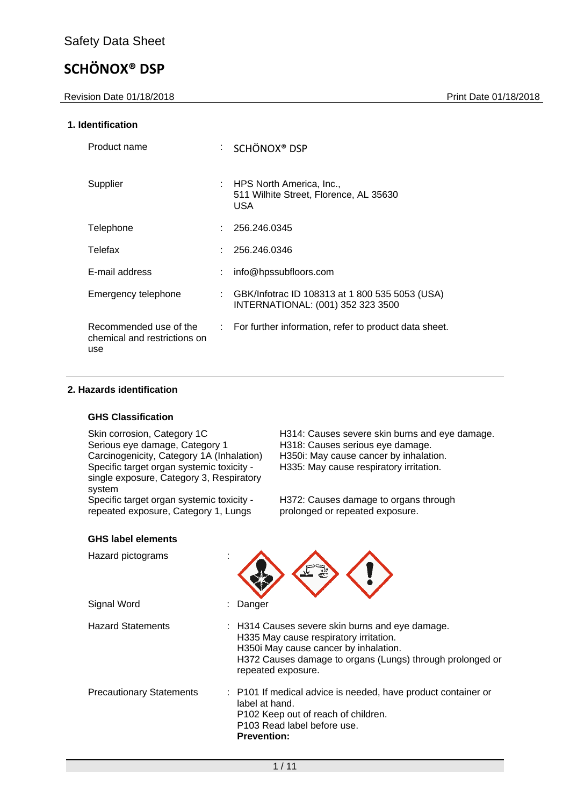| Revision Date 01/18/2018                                      |                |                                                                                     | Print Date 01/18/2018 |
|---------------------------------------------------------------|----------------|-------------------------------------------------------------------------------------|-----------------------|
| 1. Identification                                             |                |                                                                                     |                       |
| Product name                                                  |                | SCHÖNOX <sup>®</sup> DSP                                                            |                       |
| Supplier                                                      |                | : HPS North America, Inc.,<br>511 Wilhite Street, Florence, AL 35630<br><b>USA</b>  |                       |
| Telephone                                                     |                | 256.246.0345                                                                        |                       |
| Telefax                                                       |                | 256.246.0346                                                                        |                       |
| E-mail address                                                |                | info@hpssubfloors.com                                                               |                       |
| Emergency telephone                                           | $\mathbb{R}^n$ | GBK/Infotrac ID 108313 at 1 800 535 5053 (USA)<br>INTERNATIONAL: (001) 352 323 3500 |                       |
| Recommended use of the<br>chemical and restrictions on<br>use |                | : For further information, refer to product data sheet.                             |                       |

#### **2. Hazards identification**

#### **GHS Classification**

Serious eye damage, Category 1 H318: Causes serious eye damage.<br>Carcinogenicity, Category 1A (Inhalation) H350i: May cause cancer by inhalation. Carcinogenicity, Category 1A (Inhalation) Specific target organ systemic toxicity single exposure, Category 3, Respiratory system Specific target organ systemic toxicity repeated exposure, Category 1, Lungs

Skin corrosion, Category 1C H314: Causes severe skin burns and eye damage. H335: May cause respiratory irritation.

> H372: Causes damage to organs through prolonged or repeated exposure.

#### **GHS label elements**

| Hazard pictograms               |                                                                                                                                                                                                                       |
|---------------------------------|-----------------------------------------------------------------------------------------------------------------------------------------------------------------------------------------------------------------------|
| Signal Word                     | : Danger                                                                                                                                                                                                              |
| <b>Hazard Statements</b>        | : H314 Causes severe skin burns and eye damage.<br>H335 May cause respiratory irritation.<br>H350i May cause cancer by inhalation.<br>H372 Causes damage to organs (Lungs) through prolonged or<br>repeated exposure. |
| <b>Precautionary Statements</b> | : P101 If medical advice is needed, have product container or<br>label at hand.<br>P102 Keep out of reach of children.<br>P <sub>103</sub> Read label before use.<br><b>Prevention:</b>                               |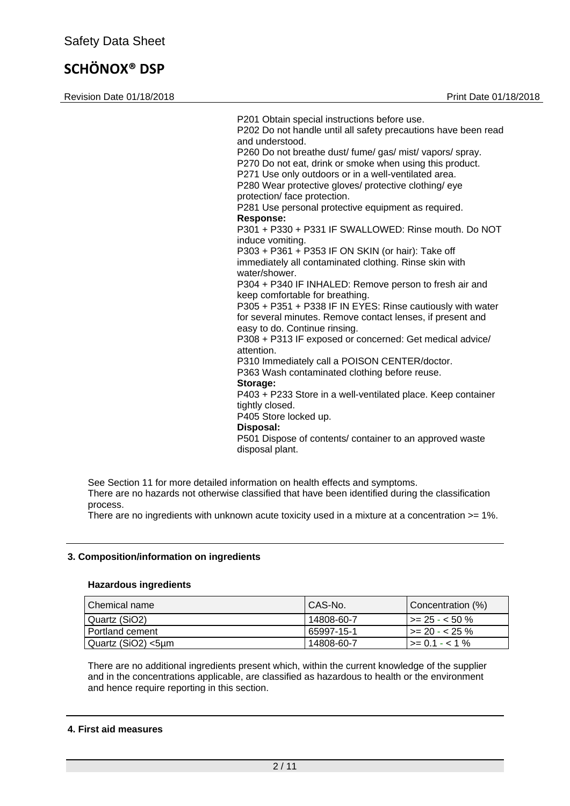Revision Date 01/18/2018 **Print Date 01/18/2018** 

P201 Obtain special instructions before use. P202 Do not handle until all safety precautions have been read and understood. P260 Do not breathe dust/ fume/ gas/ mist/ vapors/ spray. P270 Do not eat, drink or smoke when using this product. P271 Use only outdoors or in a well-ventilated area. P280 Wear protective gloves/ protective clothing/ eye protection/ face protection. P281 Use personal protective equipment as required. **Response:**  P301 + P330 + P331 IF SWALLOWED: Rinse mouth. Do NOT induce vomiting. P303 + P361 + P353 IF ON SKIN (or hair): Take off immediately all contaminated clothing. Rinse skin with water/shower. P304 + P340 IF INHALED: Remove person to fresh air and keep comfortable for breathing. P305 + P351 + P338 IF IN EYES: Rinse cautiously with water for several minutes. Remove contact lenses, if present and easy to do. Continue rinsing. P308 + P313 IF exposed or concerned: Get medical advice/ attention. P310 Immediately call a POISON CENTER/doctor. P363 Wash contaminated clothing before reuse. **Storage:**  P403 + P233 Store in a well-ventilated place. Keep container tightly closed. P405 Store locked up. **Disposal:**  P501 Dispose of contents/ container to an approved waste disposal plant.

See Section 11 for more detailed information on health effects and symptoms.

There are no hazards not otherwise classified that have been identified during the classification process.

There are no ingredients with unknown acute toxicity used in a mixture at a concentration >= 1%.

#### **3. Composition/information on ingredients**

#### **Hazardous ingredients**

| I Chemical name    | CAS-No.    | Concentration (%) |
|--------------------|------------|-------------------|
| Quartz (SiO2)      | 14808-60-7 | l >= 25 - < 50 %  |
| l Portland cement  | 65997-15-1 | l >= 20 - < 25 %  |
| Quartz (SiO2) <5µm | 14808-60-7 | $1 > 0.1 - 1\%$   |

There are no additional ingredients present which, within the current knowledge of the supplier and in the concentrations applicable, are classified as hazardous to health or the environment and hence require reporting in this section.

#### **4. First aid measures**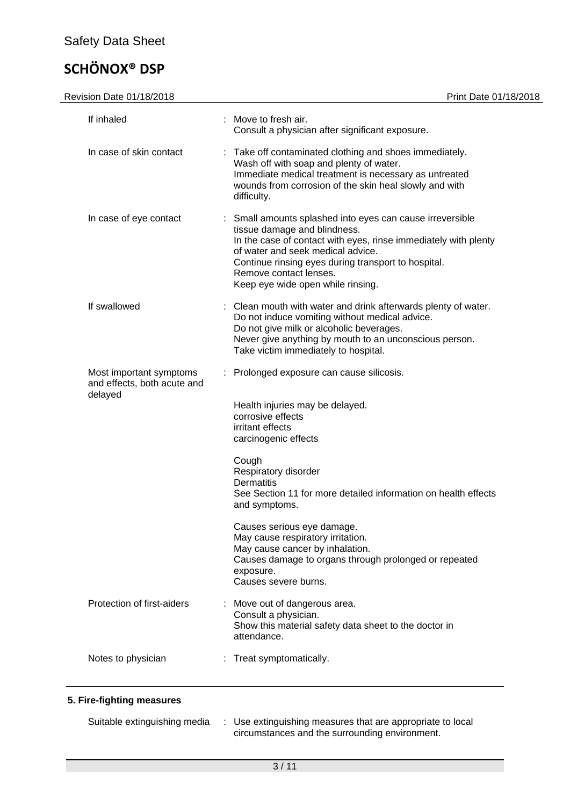Revision Date 01/18/2018 **Print Date 01/18/2018** 

| If inhaled                                                        | : Move to fresh air.<br>Consult a physician after significant exposure.                                                                                                                                                                                                                                                                                                                                                                                                             |
|-------------------------------------------------------------------|-------------------------------------------------------------------------------------------------------------------------------------------------------------------------------------------------------------------------------------------------------------------------------------------------------------------------------------------------------------------------------------------------------------------------------------------------------------------------------------|
| In case of skin contact                                           | : Take off contaminated clothing and shoes immediately.<br>Wash off with soap and plenty of water.<br>Immediate medical treatment is necessary as untreated<br>wounds from corrosion of the skin heal slowly and with<br>difficulty.                                                                                                                                                                                                                                                |
| In case of eye contact                                            | : Small amounts splashed into eyes can cause irreversible<br>tissue damage and blindness.<br>In the case of contact with eyes, rinse immediately with plenty<br>of water and seek medical advice.<br>Continue rinsing eyes during transport to hospital.<br>Remove contact lenses.<br>Keep eye wide open while rinsing.                                                                                                                                                             |
| If swallowed                                                      | : Clean mouth with water and drink afterwards plenty of water.<br>Do not induce vomiting without medical advice.<br>Do not give milk or alcoholic beverages.<br>Never give anything by mouth to an unconscious person.<br>Take victim immediately to hospital.                                                                                                                                                                                                                      |
| Most important symptoms<br>and effects, both acute and<br>delayed | : Prolonged exposure can cause silicosis.<br>Health injuries may be delayed.<br>corrosive effects<br>irritant effects<br>carcinogenic effects<br>Cough<br>Respiratory disorder<br>Dermatitis<br>See Section 11 for more detailed information on health effects<br>and symptoms.<br>Causes serious eye damage.<br>May cause respiratory irritation.<br>May cause cancer by inhalation.<br>Causes damage to organs through prolonged or repeated<br>exposure.<br>Causes severe burns. |
| Protection of first-aiders                                        | Move out of dangerous area.<br>Consult a physician.<br>Show this material safety data sheet to the doctor in<br>attendance.                                                                                                                                                                                                                                                                                                                                                         |
| Notes to physician                                                | : Treat symptomatically.                                                                                                                                                                                                                                                                                                                                                                                                                                                            |

#### **5. Fire-fighting measures**

Suitable extinguishing media : Use extinguishing measures that are appropriate to local circumstances and the surrounding environment.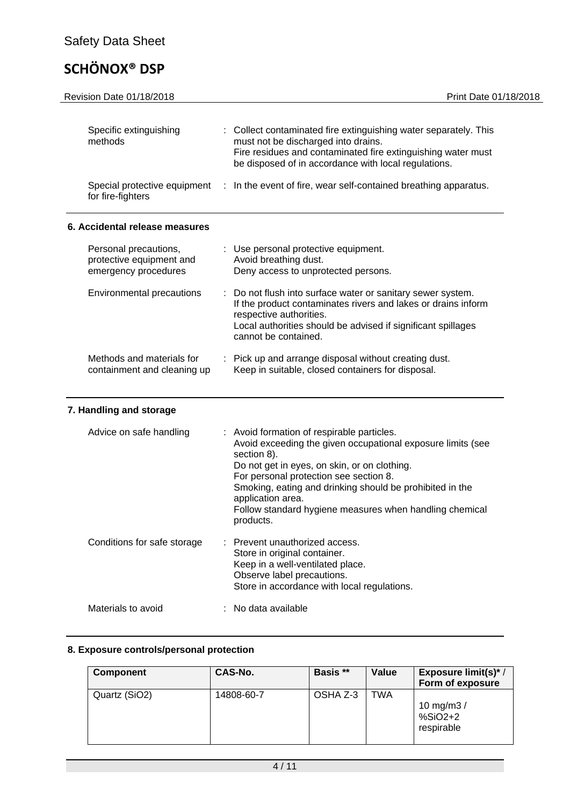| Revision Date 01/18/2018                                                  |        | Print Date 01/18/2018                                                                                                                                                                                                                                                                                                                                                       |
|---------------------------------------------------------------------------|--------|-----------------------------------------------------------------------------------------------------------------------------------------------------------------------------------------------------------------------------------------------------------------------------------------------------------------------------------------------------------------------------|
| Specific extinguishing<br>methods                                         |        | : Collect contaminated fire extinguishing water separately. This<br>must not be discharged into drains.<br>Fire residues and contaminated fire extinguishing water must<br>be disposed of in accordance with local regulations.                                                                                                                                             |
| Special protective equipment<br>for fire-fighters                         | $\sim$ | In the event of fire, wear self-contained breathing apparatus.                                                                                                                                                                                                                                                                                                              |
| 6. Accidental release measures                                            |        |                                                                                                                                                                                                                                                                                                                                                                             |
| Personal precautions,<br>protective equipment and<br>emergency procedures |        | Use personal protective equipment.<br>Avoid breathing dust.<br>Deny access to unprotected persons.                                                                                                                                                                                                                                                                          |
| <b>Environmental precautions</b>                                          |        | Do not flush into surface water or sanitary sewer system.<br>If the product contaminates rivers and lakes or drains inform<br>respective authorities.<br>Local authorities should be advised if significant spillages<br>cannot be contained.                                                                                                                               |
| Methods and materials for<br>containment and cleaning up                  | ÷.     | Pick up and arrange disposal without creating dust.<br>Keep in suitable, closed containers for disposal.                                                                                                                                                                                                                                                                    |
| 7. Handling and storage                                                   |        |                                                                                                                                                                                                                                                                                                                                                                             |
| Advice on safe handling                                                   |        | : Avoid formation of respirable particles.<br>Avoid exceeding the given occupational exposure limits (see<br>section 8).<br>Do not get in eyes, on skin, or on clothing.<br>For personal protection see section 8.<br>Smoking, eating and drinking should be prohibited in the<br>application area.<br>Follow standard hygiene measures when handling chemical<br>products. |
| Conditions for safe storage                                               |        | Prevent unauthorized access.<br>Store in original container.<br>Keep in a well-ventilated place.<br>Observe label precautions.<br>Store in accordance with local regulations.                                                                                                                                                                                               |

#### Materials to avoid : No data available

### **8. Exposure controls/personal protection**

| Component     | CAS-No.    | <b>Basis</b> ** | Value | Exposure limit(s)*/<br>Form of exposure |
|---------------|------------|-----------------|-------|-----------------------------------------|
| Quartz (SiO2) | 14808-60-7 | OSHA Z-3        | TWA   | 10 mg/m $3/$<br>%SiO2+2<br>respirable   |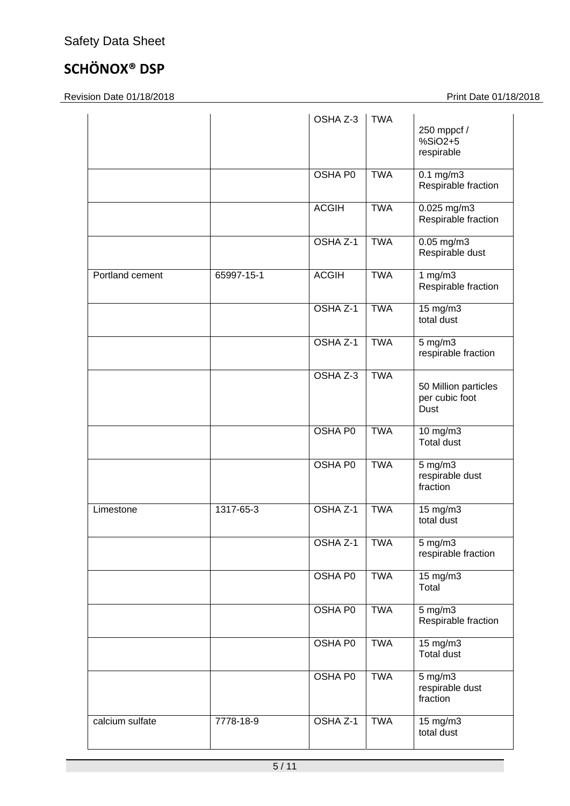Revision Date 01/18/2018 Print Date 01/18/2018

|                 |            | OSHA Z-3       | <b>TWA</b> |                                                   |
|-----------------|------------|----------------|------------|---------------------------------------------------|
|                 |            |                |            | 250 mppcf /<br>%SiO2+5<br>respirable              |
|                 |            | <b>OSHA P0</b> | <b>TWA</b> | $0.1$ mg/m3<br>Respirable fraction                |
|                 |            | <b>ACGIH</b>   | <b>TWA</b> | 0.025 mg/m3<br>Respirable fraction                |
|                 |            | OSHA Z-1       | <b>TWA</b> | 0.05 mg/m3<br>Respirable dust                     |
| Portland cement | 65997-15-1 | <b>ACGIH</b>   | <b>TWA</b> | 1 $mg/m3$<br>Respirable fraction                  |
|                 |            | OSHA Z-1       | <b>TWA</b> | 15 mg/m3<br>total dust                            |
|                 |            | OSHA Z-1       | <b>TWA</b> | $5$ mg/m $3$<br>respirable fraction               |
|                 |            | OSHA Z-3       | <b>TWA</b> | 50 Million particles<br>per cubic foot<br>Dust    |
|                 |            | <b>OSHA P0</b> | <b>TWA</b> | $10$ mg/m $3$<br><b>Total dust</b>                |
|                 |            | OSHA P0        | <b>TWA</b> | $5$ mg/m $3$<br>respirable dust<br>fraction       |
| Limestone       | 1317-65-3  | OSHA Z-1       | <b>TWA</b> | 15 mg/m3<br>total dust                            |
|                 |            | OSHA Z-1       | <b>TWA</b> | $5$ mg/m $3$<br>respirable fraction               |
|                 |            | <b>OSHA P0</b> | <b>TWA</b> | 15 mg/m3<br>Total                                 |
|                 |            | OSHA P0        | <b>TWA</b> | $5$ mg/m $3$<br>Respirable fraction               |
|                 |            | OSHA P0        | <b>TWA</b> | $15 \text{ mg/m}$<br><b>Total dust</b>            |
|                 |            | <b>OSHA P0</b> | <b>TWA</b> | $5$ mg/m $3$<br>respirable dust<br>fraction       |
| calcium sulfate | 7778-18-9  | OSHA Z-1       | <b>TWA</b> | $15 \overline{\text{mg}}/\text{m}3$<br>total dust |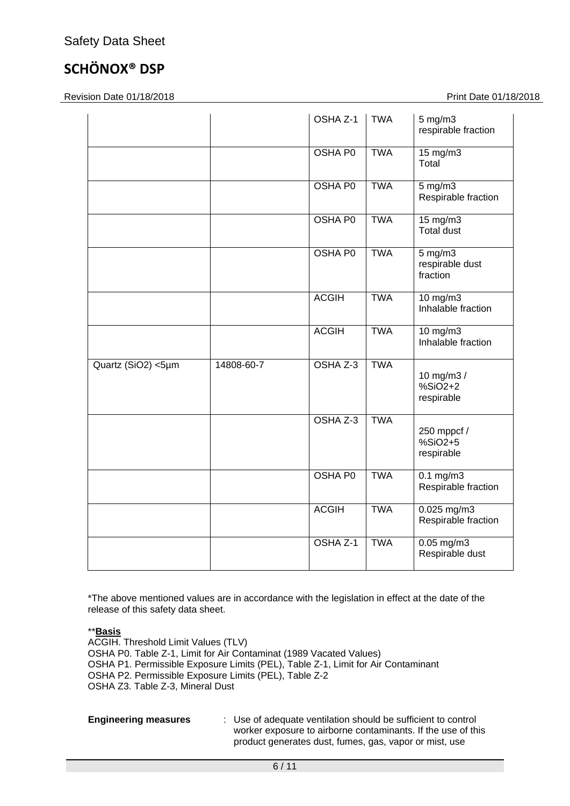Revision Date 01/18/2018 **Print Date 01/18/2018** 

|                    |            | OSHA Z-1       | <b>TWA</b> | $5$ mg/m $3$<br>respirable fraction         |
|--------------------|------------|----------------|------------|---------------------------------------------|
|                    |            | <b>OSHA PO</b> | <b>TWA</b> | $15 \text{ mg/m}$<br>Total                  |
|                    |            | <b>OSHA PO</b> | <b>TWA</b> | $5 \,\mathrm{mg/m3}$<br>Respirable fraction |
|                    |            | OSHA P0        | <b>TWA</b> | 15 mg/m3<br><b>Total dust</b>               |
|                    |            | <b>OSHA P0</b> | <b>TWA</b> | $5$ mg/m $3$<br>respirable dust<br>fraction |
|                    |            | <b>ACGIH</b>   | <b>TWA</b> | $10$ mg/m $3$<br>Inhalable fraction         |
|                    |            | <b>ACGIH</b>   | <b>TWA</b> | $10$ mg/m $3$<br>Inhalable fraction         |
| Quartz (SiO2) <5µm | 14808-60-7 | OSHA Z-3       | <b>TWA</b> | 10 mg/m3 /<br>%SiO2+2<br>respirable         |
|                    |            | OSHA Z-3       | <b>TWA</b> | 250 mppcf /<br>%SiO2+5<br>respirable        |
|                    |            | <b>OSHA P0</b> | <b>TWA</b> | $0.1 \text{ mg/m}$<br>Respirable fraction   |
|                    |            | <b>ACGIH</b>   | <b>TWA</b> | $0.025$ mg/m3<br>Respirable fraction        |
|                    |            | OSHA Z-1       | <b>TWA</b> | $0.05$ mg/m3<br>Respirable dust             |

\*The above mentioned values are in accordance with the legislation in effect at the date of the release of this safety data sheet.

#### \*\***Basis**

ACGIH. Threshold Limit Values (TLV) OSHA P0. Table Z-1, Limit for Air Contaminat (1989 Vacated Values) OSHA P1. Permissible Exposure Limits (PEL), Table Z-1, Limit for Air Contaminant OSHA P2. Permissible Exposure Limits (PEL), Table Z-2 OSHA Z3. Table Z-3, Mineral Dust

**Engineering measures** : Use of adequate ventilation should be sufficient to control worker exposure to airborne contaminants. If the use of this product generates dust, fumes, gas, vapor or mist, use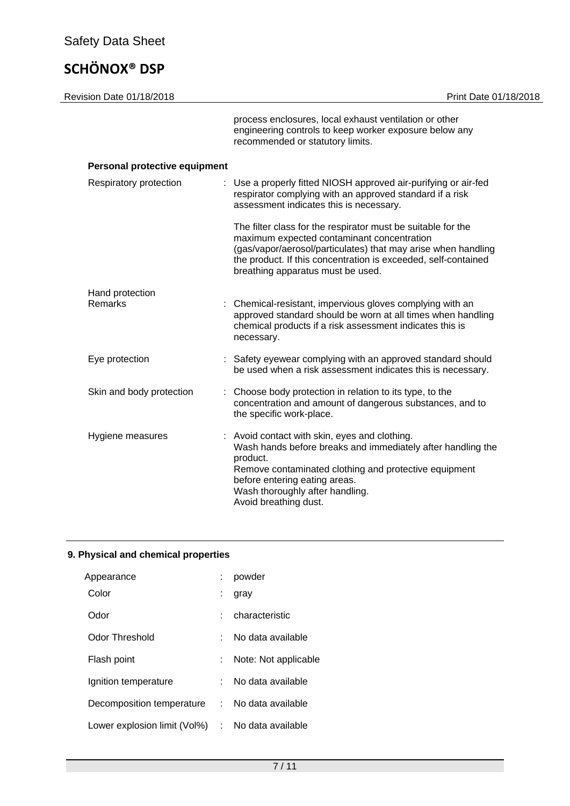| Revision Date 01/18/2018      | Print Date 01/18/2018                                                                                                                                                                                                                                                              |
|-------------------------------|------------------------------------------------------------------------------------------------------------------------------------------------------------------------------------------------------------------------------------------------------------------------------------|
|                               | process enclosures, local exhaust ventilation or other<br>engineering controls to keep worker exposure below any<br>recommended or statutory limits.                                                                                                                               |
| Personal protective equipment |                                                                                                                                                                                                                                                                                    |
| Respiratory protection        | : Use a properly fitted NIOSH approved air-purifying or air-fed<br>respirator complying with an approved standard if a risk<br>assessment indicates this is necessary.                                                                                                             |
|                               | The filter class for the respirator must be suitable for the<br>maximum expected contaminant concentration<br>(gas/vapor/aerosol/particulates) that may arise when handling<br>the product. If this concentration is exceeded, self-contained<br>breathing apparatus must be used. |
| Hand protection<br>Remarks    | : Chemical-resistant, impervious gloves complying with an<br>approved standard should be worn at all times when handling<br>chemical products if a risk assessment indicates this is<br>necessary.                                                                                 |
| Eye protection                | : Safety eyewear complying with an approved standard should<br>be used when a risk assessment indicates this is necessary.                                                                                                                                                         |
| Skin and body protection      | Choose body protection in relation to its type, to the<br>t.<br>concentration and amount of dangerous substances, and to<br>the specific work-place.                                                                                                                               |
| Hygiene measures              | : Avoid contact with skin, eyes and clothing.<br>Wash hands before breaks and immediately after handling the<br>product.<br>Remove contaminated clothing and protective equipment<br>before entering eating areas.<br>Wash thoroughly after handling.<br>Avoid breathing dust.     |

### **9. Physical and chemical properties**

| Appearance                   |            | powder               |
|------------------------------|------------|----------------------|
| Color                        | ÷          | gray                 |
| Odor                         |            | characteristic       |
| Odor Threshold               |            | No data available    |
| Flash point                  | t.         | Note: Not applicable |
| Ignition temperature         |            | No data available    |
| Decomposition temperature    | t in       | No data available    |
| Lower explosion limit (Vol%) | $\sim 100$ | No data available    |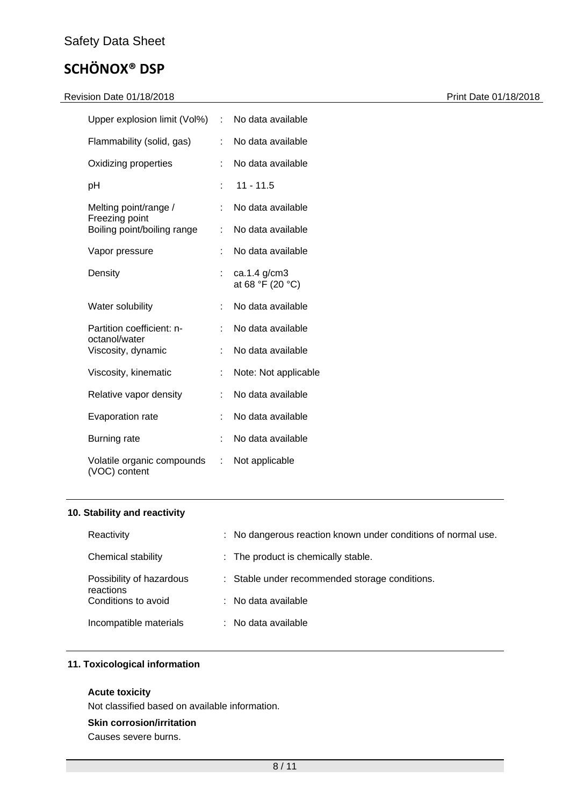Revision Date 01/18/2018 **Print Date 01/18/2018** 

| Upper explosion limit (Vol%) : No data available |    |                                  |
|--------------------------------------------------|----|----------------------------------|
| Flammability (solid, gas)                        | t. | No data available                |
| Oxidizing properties                             | t. | No data available                |
| рH                                               | ŧ. | $11 - 11.5$                      |
| Melting point/range /                            |    | No data available                |
| Freezing point<br>Boiling point/boiling range    | t. | No data available                |
| Vapor pressure                                   | t. | No data available                |
| Density                                          | t. | ca.1.4 g/cm3<br>at 68 °F (20 °C) |
| Water solubility                                 |    | No data available                |
| Partition coefficient: n-<br>octanol/water       | t. | No data available                |
| Viscosity, dynamic                               |    | No data available                |
| Viscosity, kinematic                             | t. | Note: Not applicable             |
| Relative vapor density                           | t. | No data available                |
| Evaporation rate                                 |    | No data available                |
| Burning rate                                     |    | No data available                |
| Volatile organic compounds<br>(VOC) content      | t. | Not applicable                   |

### **10. Stability and reactivity**

| Reactivity                            | : No dangerous reaction known under conditions of normal use. |
|---------------------------------------|---------------------------------------------------------------|
| Chemical stability                    | : The product is chemically stable.                           |
| Possibility of hazardous<br>reactions | : Stable under recommended storage conditions.                |
| Conditions to avoid                   | $\therefore$ No data available                                |
| Incompatible materials                | : No data available                                           |

#### **11. Toxicological information**

#### **Acute toxicity**

Not classified based on available information.

#### **Skin corrosion/irritation**

Causes severe burns.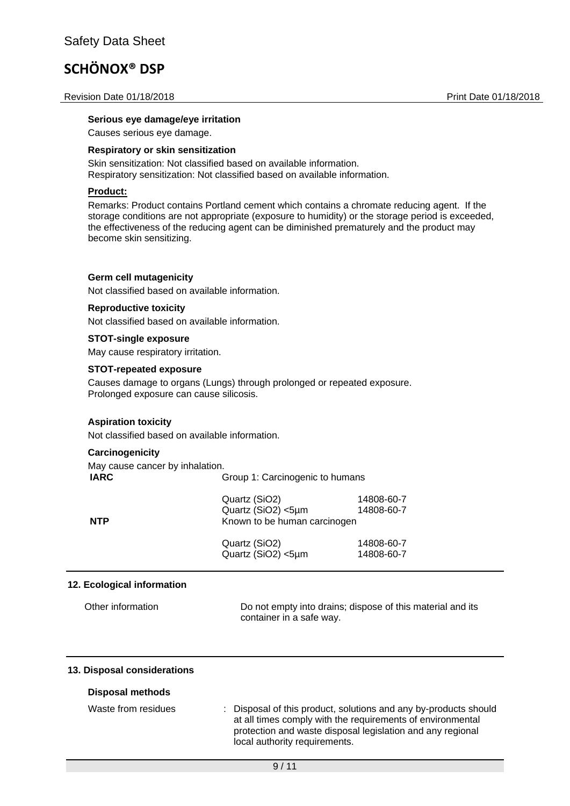#### Revision Date 01/18/2018 Print Date 01/18/2018

#### **Serious eye damage/eye irritation**

Causes serious eye damage.

#### **Respiratory or skin sensitization**

Skin sensitization: Not classified based on available information. Respiratory sensitization: Not classified based on available information.

#### **Product:**

Remarks: Product contains Portland cement which contains a chromate reducing agent. If the storage conditions are not appropriate (exposure to humidity) or the storage period is exceeded, the effectiveness of the reducing agent can be diminished prematurely and the product may become skin sensitizing.

#### **Germ cell mutagenicity**

Not classified based on available information.

#### **Reproductive toxicity**

Not classified based on available information.

#### **STOT-single exposure**

May cause respiratory irritation.

#### **STOT-repeated exposure**

Causes damage to organs (Lungs) through prolonged or repeated exposure. Prolonged exposure can cause silicosis.

#### **Aspiration toxicity**

Not classified based on available information.

#### **Carcinogenicity**

| May cause cancer by inhalation. |                                 |
|---------------------------------|---------------------------------|
| IARC                            | Group 1: Carcinogenic to humans |

| <b>NTP</b> | Quartz (SiO2)<br>Quartz (SiO2) <5µm<br>Known to be human carcinogen | 14808-60-7<br>14808-60-7 |
|------------|---------------------------------------------------------------------|--------------------------|
|            | Quartz (SiO2)<br>Quartz (SiO2) <5µm                                 | 14808-60-7<br>14808-60-7 |

#### **12. Ecological information**

Other information Do not empty into drains; dispose of this material and its container in a safe way.

#### **13. Disposal considerations**

#### **Disposal methods**

| Waste from residues | : Disposal of this product, solutions and any by-products should |
|---------------------|------------------------------------------------------------------|
|                     | at all times comply with the requirements of environmental       |
|                     | protection and waste disposal legislation and any regional       |
|                     | local authority requirements.                                    |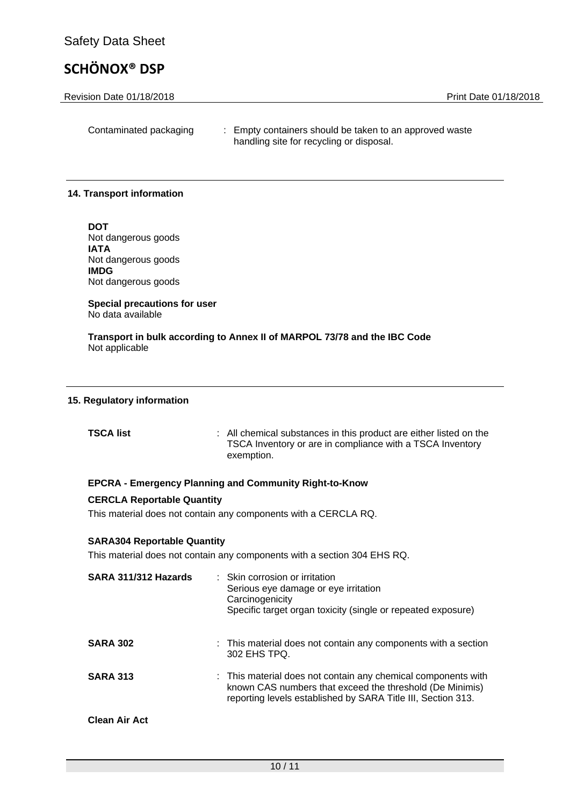Revision Date 01/18/2018 **Print Date 01/18/2018** 

Contaminated packaging : Empty containers should be taken to an approved waste handling site for recycling or disposal.

#### **14. Transport information**

**DOT**  Not dangerous goods **IATA**  Not dangerous goods **IMDG**  Not dangerous goods

**Special precautions for user**  No data available

**Transport in bulk according to Annex II of MARPOL 73/78 and the IBC Code**  Not applicable

#### **15. Regulatory information**

#### **EPCRA - Emergency Planning and Community Right-to-Know**

#### **CERCLA Reportable Quantity**

This material does not contain any components with a CERCLA RQ.

#### **SARA304 Reportable Quantity**

This material does not contain any components with a section 304 EHS RQ.

| SARA 311/312 Hazards | : Skin corrosion or irritation<br>Serious eye damage or eye irritation<br>Carcinogenicity<br>Specific target organ toxicity (single or repeated exposure)                                 |
|----------------------|-------------------------------------------------------------------------------------------------------------------------------------------------------------------------------------------|
| <b>SARA 302</b>      | : This material does not contain any components with a section<br>302 EHS TPO.                                                                                                            |
| <b>SARA 313</b>      | : This material does not contain any chemical components with<br>known CAS numbers that exceed the threshold (De Minimis)<br>reporting levels established by SARA Title III, Section 313. |
| <b>Clean Air Act</b> |                                                                                                                                                                                           |